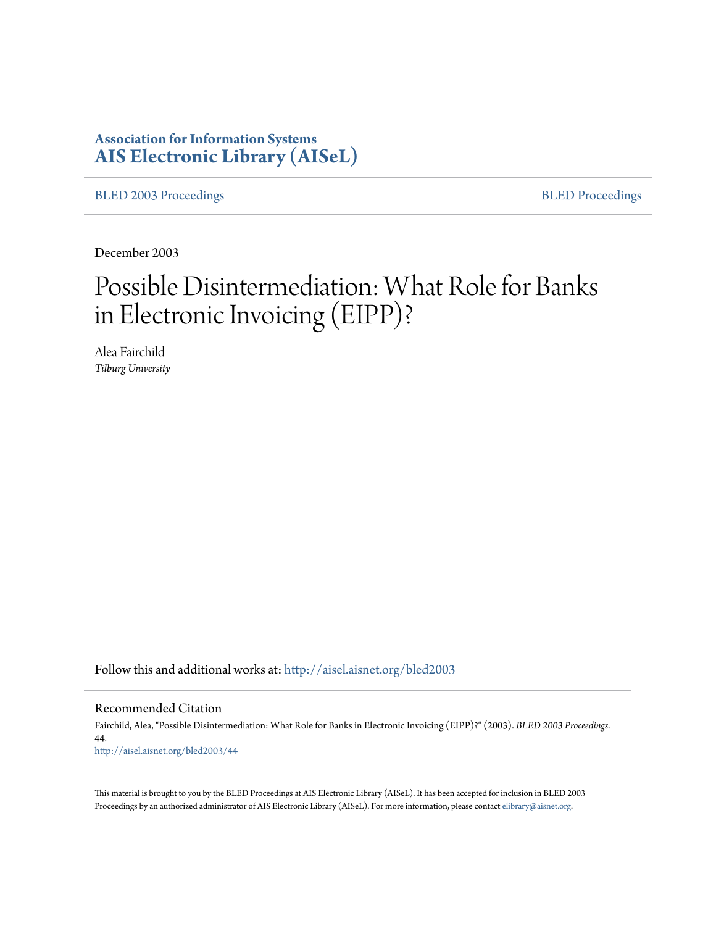# **Association for Information Systems [AIS Electronic Library \(AISeL\)](http://aisel.aisnet.org?utm_source=aisel.aisnet.org%2Fbled2003%2F44&utm_medium=PDF&utm_campaign=PDFCoverPages)**

[BLED 2003 Proceedings](http://aisel.aisnet.org/bled2003?utm_source=aisel.aisnet.org%2Fbled2003%2F44&utm_medium=PDF&utm_campaign=PDFCoverPages) **[BLED Proceedings](http://aisel.aisnet.org/bled?utm_source=aisel.aisnet.org%2Fbled2003%2F44&utm_medium=PDF&utm_campaign=PDFCoverPages)** 

December 2003

# Possible Disintermediation: What Role for Banks in Electronic Invoicing (EIPP)?

Alea Fairchild *Tilburg University*

Follow this and additional works at: [http://aisel.aisnet.org/bled2003](http://aisel.aisnet.org/bled2003?utm_source=aisel.aisnet.org%2Fbled2003%2F44&utm_medium=PDF&utm_campaign=PDFCoverPages)

Recommended Citation

Fairchild, Alea, "Possible Disintermediation: What Role for Banks in Electronic Invoicing (EIPP)?" (2003). *BLED 2003 Proceedings*. 44. [http://aisel.aisnet.org/bled2003/44](http://aisel.aisnet.org/bled2003/44?utm_source=aisel.aisnet.org%2Fbled2003%2F44&utm_medium=PDF&utm_campaign=PDFCoverPages)

This material is brought to you by the BLED Proceedings at AIS Electronic Library (AISeL). It has been accepted for inclusion in BLED 2003 Proceedings by an authorized administrator of AIS Electronic Library (AISeL). For more information, please contact [elibrary@aisnet.org](mailto:elibrary@aisnet.org%3E).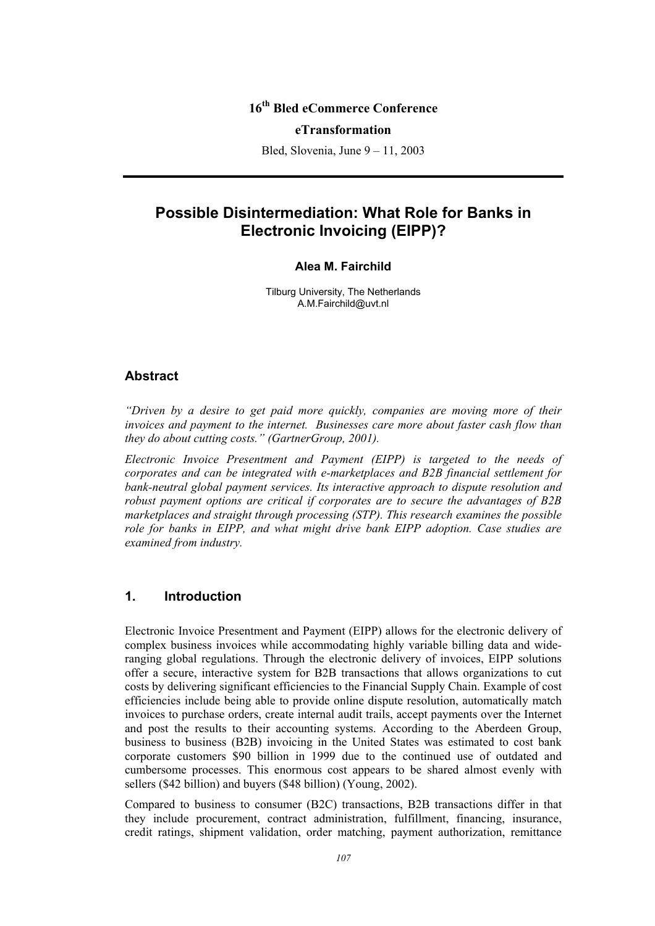# **16th Bled eCommerce Conference**

#### **eTransformation**

Bled, Slovenia, June 9 – 11, 2003

# **Possible Disintermediation: What Role for Banks in Electronic Invoicing (EIPP)?**

#### **Alea M. Fairchild**

Tilburg University, The Netherlands A.M.Fairchild@uvt.nl

#### **Abstract**

*"Driven by a desire to get paid more quickly, companies are moving more of their invoices and payment to the internet. Businesses care more about faster cash flow than they do about cutting costs." (GartnerGroup, 2001).* 

*Electronic Invoice Presentment and Payment (EIPP) is targeted to the needs of corporates and can be integrated with e-marketplaces and B2B financial settlement for bank-neutral global payment services. Its interactive approach to dispute resolution and robust payment options are critical if corporates are to secure the advantages of B2B marketplaces and straight through processing (STP). This research examines the possible role for banks in EIPP, and what might drive bank EIPP adoption. Case studies are examined from industry.* 

#### **1. Introduction**

Electronic Invoice Presentment and Payment (EIPP) allows for the electronic delivery of complex business invoices while accommodating highly variable billing data and wideranging global regulations. Through the electronic delivery of invoices, EIPP solutions offer a secure, interactive system for B2B transactions that allows organizations to cut costs by delivering significant efficiencies to the Financial Supply Chain. Example of cost efficiencies include being able to provide online dispute resolution, automatically match invoices to purchase orders, create internal audit trails, accept payments over the Internet and post the results to their accounting systems. According to the Aberdeen Group, business to business (B2B) invoicing in the United States was estimated to cost bank corporate customers \$90 billion in 1999 due to the continued use of outdated and cumbersome processes. This enormous cost appears to be shared almost evenly with sellers (\$42 billion) and buyers (\$48 billion) (Young, 2002).

Compared to business to consumer (B2C) transactions, B2B transactions differ in that they include procurement, contract administration, fulfillment, financing, insurance, credit ratings, shipment validation, order matching, payment authorization, remittance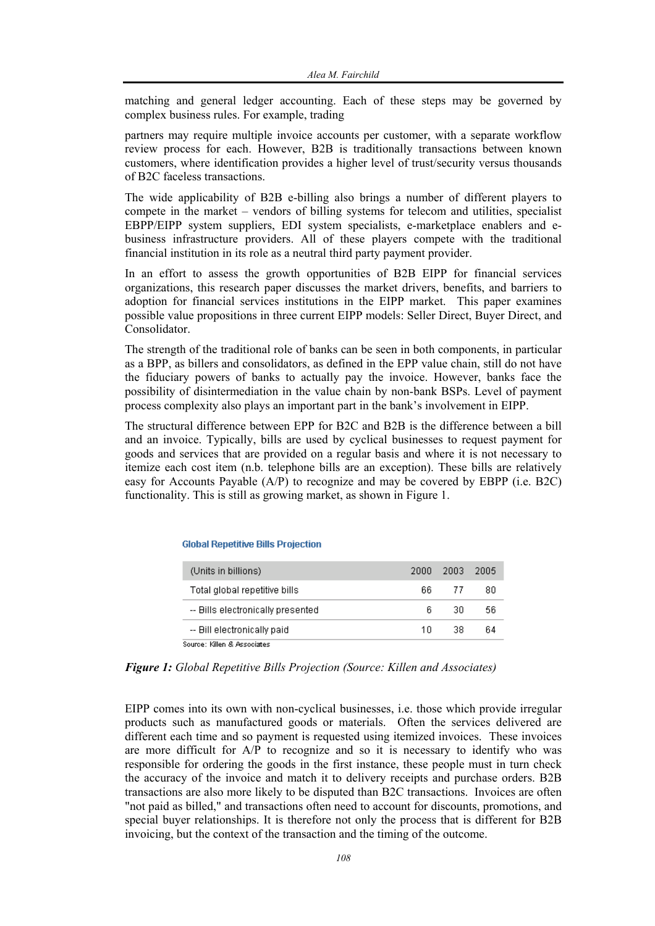matching and general ledger accounting. Each of these steps may be governed by complex business rules. For example, trading

partners may require multiple invoice accounts per customer, with a separate workflow review process for each. However, B2B is traditionally transactions between known customers, where identification provides a higher level of trust/security versus thousands of B2C faceless transactions.

The wide applicability of B2B e-billing also brings a number of different players to compete in the market – vendors of billing systems for telecom and utilities, specialist EBPP/EIPP system suppliers, EDI system specialists, e-marketplace enablers and ebusiness infrastructure providers. All of these players compete with the traditional financial institution in its role as a neutral third party payment provider.

In an effort to assess the growth opportunities of B2B EIPP for financial services organizations, this research paper discusses the market drivers, benefits, and barriers to adoption for financial services institutions in the EIPP market. This paper examines possible value propositions in three current EIPP models: Seller Direct, Buyer Direct, and Consolidator.

The strength of the traditional role of banks can be seen in both components, in particular as a BPP, as billers and consolidators, as defined in the EPP value chain, still do not have the fiduciary powers of banks to actually pay the invoice. However, banks face the possibility of disintermediation in the value chain by non-bank BSPs. Level of payment process complexity also plays an important part in the bank's involvement in EIPP.

The structural difference between EPP for B2C and B2B is the difference between a bill and an invoice. Typically, bills are used by cyclical businesses to request payment for goods and services that are provided on a regular basis and where it is not necessary to itemize each cost item (n.b. telephone bills are an exception). These bills are relatively easy for Accounts Payable (A/P) to recognize and may be covered by EBPP (i.e. B2C) functionality. This is still as growing market, as shown in Figure 1.

| (Units in billions)               | 2000 | -2003- | - 2005 |
|-----------------------------------|------|--------|--------|
| Total global repetitive bills     | 66.  | - 77   | 80     |
| -- Bills electronically presented | 6    | 30     | 56     |
| -- Bill electronically paid.      | 1 N  | 38.    | 64     |
| Source: Killen & Associates.      |      |        |        |

#### **Global Repetitive Bills Projection**

*Figure 1: Global Repetitive Bills Projection (Source: Killen and Associates)* 

EIPP comes into its own with non-cyclical businesses, i.e. those which provide irregular products such as manufactured goods or materials. Often the services delivered are different each time and so payment is requested using itemized invoices. These invoices are more difficult for A/P to recognize and so it is necessary to identify who was responsible for ordering the goods in the first instance, these people must in turn check the accuracy of the invoice and match it to delivery receipts and purchase orders. B2B transactions are also more likely to be disputed than B2C transactions. Invoices are often "not paid as billed," and transactions often need to account for discounts, promotions, and special buyer relationships. It is therefore not only the process that is different for B2B invoicing, but the context of the transaction and the timing of the outcome.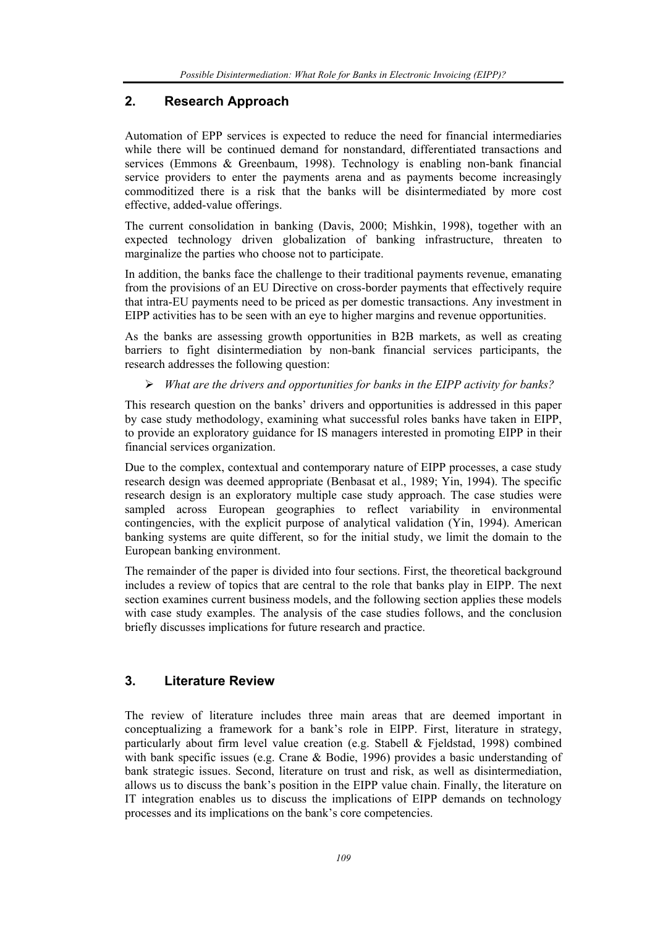## **2. Research Approach**

Automation of EPP services is expected to reduce the need for financial intermediaries while there will be continued demand for nonstandard, differentiated transactions and services (Emmons & Greenbaum, 1998). Technology is enabling non-bank financial service providers to enter the payments arena and as payments become increasingly commoditized there is a risk that the banks will be disintermediated by more cost effective, added-value offerings.

The current consolidation in banking (Davis, 2000; Mishkin, 1998), together with an expected technology driven globalization of banking infrastructure, threaten to marginalize the parties who choose not to participate.

In addition, the banks face the challenge to their traditional payments revenue, emanating from the provisions of an EU Directive on cross-border payments that effectively require that intra-EU payments need to be priced as per domestic transactions. Any investment in EIPP activities has to be seen with an eye to higher margins and revenue opportunities.

As the banks are assessing growth opportunities in B2B markets, as well as creating barriers to fight disintermediation by non-bank financial services participants, the research addresses the following question:

¾ *What are the drivers and opportunities for banks in the EIPP activity for banks?*

This research question on the banks' drivers and opportunities is addressed in this paper by case study methodology, examining what successful roles banks have taken in EIPP, to provide an exploratory guidance for IS managers interested in promoting EIPP in their financial services organization.

Due to the complex, contextual and contemporary nature of EIPP processes, a case study research design was deemed appropriate (Benbasat et al., 1989; Yin, 1994). The specific research design is an exploratory multiple case study approach. The case studies were sampled across European geographies to reflect variability in environmental contingencies, with the explicit purpose of analytical validation (Yin, 1994). American banking systems are quite different, so for the initial study, we limit the domain to the European banking environment.

The remainder of the paper is divided into four sections. First, the theoretical background includes a review of topics that are central to the role that banks play in EIPP. The next section examines current business models, and the following section applies these models with case study examples. The analysis of the case studies follows, and the conclusion briefly discusses implications for future research and practice.

## **3. Literature Review**

The review of literature includes three main areas that are deemed important in conceptualizing a framework for a bank's role in EIPP. First, literature in strategy, particularly about firm level value creation (e.g. Stabell & Fjeldstad, 1998) combined with bank specific issues (e.g. Crane & Bodie, 1996) provides a basic understanding of bank strategic issues. Second, literature on trust and risk, as well as disintermediation, allows us to discuss the bank's position in the EIPP value chain. Finally, the literature on IT integration enables us to discuss the implications of EIPP demands on technology processes and its implications on the bank's core competencies.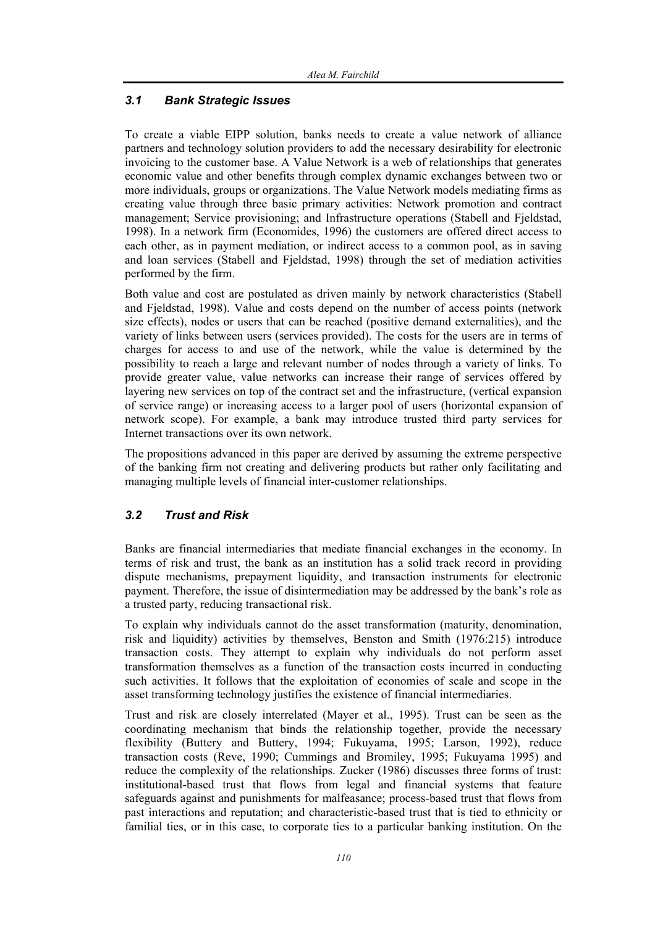## *3.1 Bank Strategic Issues*

To create a viable EIPP solution, banks needs to create a value network of alliance partners and technology solution providers to add the necessary desirability for electronic invoicing to the customer base. A Value Network is a web of relationships that generates economic value and other benefits through complex dynamic exchanges between two or more individuals, groups or organizations. The Value Network models mediating firms as creating value through three basic primary activities: Network promotion and contract management; Service provisioning; and Infrastructure operations (Stabell and Fjeldstad, 1998). In a network firm (Economides, 1996) the customers are offered direct access to each other, as in payment mediation, or indirect access to a common pool, as in saving and loan services (Stabell and Fjeldstad, 1998) through the set of mediation activities performed by the firm.

Both value and cost are postulated as driven mainly by network characteristics (Stabell and Fjeldstad, 1998). Value and costs depend on the number of access points (network size effects), nodes or users that can be reached (positive demand externalities), and the variety of links between users (services provided). The costs for the users are in terms of charges for access to and use of the network, while the value is determined by the possibility to reach a large and relevant number of nodes through a variety of links. To provide greater value, value networks can increase their range of services offered by layering new services on top of the contract set and the infrastructure, (vertical expansion of service range) or increasing access to a larger pool of users (horizontal expansion of network scope). For example, a bank may introduce trusted third party services for Internet transactions over its own network.

The propositions advanced in this paper are derived by assuming the extreme perspective of the banking firm not creating and delivering products but rather only facilitating and managing multiple levels of financial inter-customer relationships.

## *3.2 Trust and Risk*

Banks are financial intermediaries that mediate financial exchanges in the economy. In terms of risk and trust, the bank as an institution has a solid track record in providing dispute mechanisms, prepayment liquidity, and transaction instruments for electronic payment. Therefore, the issue of disintermediation may be addressed by the bank's role as a trusted party, reducing transactional risk.

To explain why individuals cannot do the asset transformation (maturity, denomination, risk and liquidity) activities by themselves, Benston and Smith (1976:215) introduce transaction costs. They attempt to explain why individuals do not perform asset transformation themselves as a function of the transaction costs incurred in conducting such activities. It follows that the exploitation of economies of scale and scope in the asset transforming technology justifies the existence of financial intermediaries.

Trust and risk are closely interrelated (Mayer et al., 1995). Trust can be seen as the coordinating mechanism that binds the relationship together, provide the necessary flexibility (Buttery and Buttery, 1994; Fukuyama, 1995; Larson, 1992), reduce transaction costs (Reve, 1990; Cummings and Bromiley, 1995; Fukuyama 1995) and reduce the complexity of the relationships. Zucker (1986) discusses three forms of trust: institutional-based trust that flows from legal and financial systems that feature safeguards against and punishments for malfeasance; process-based trust that flows from past interactions and reputation; and characteristic-based trust that is tied to ethnicity or familial ties, or in this case, to corporate ties to a particular banking institution. On the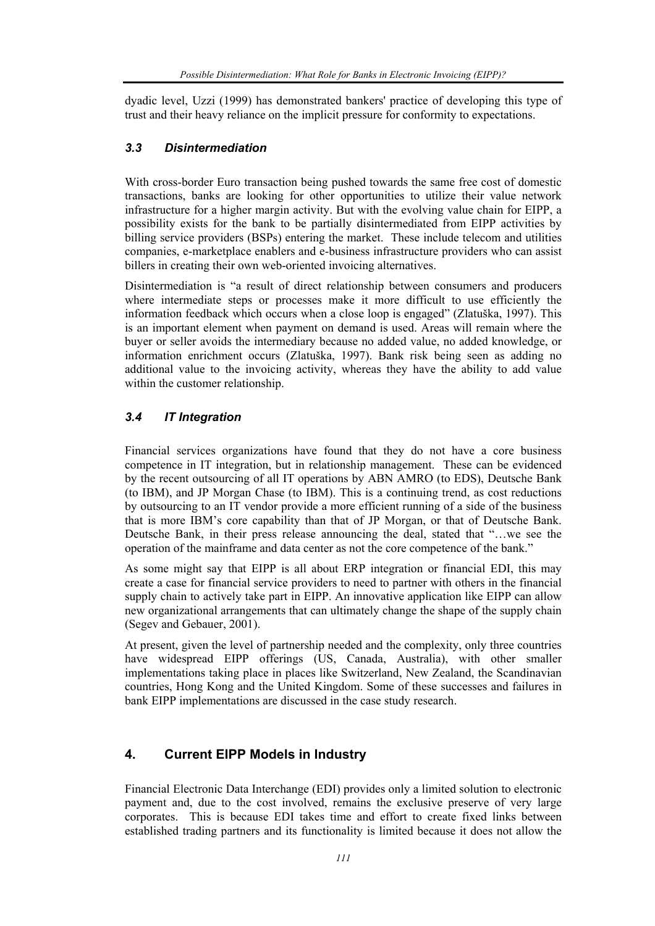dyadic level, Uzzi (1999) has demonstrated bankers' practice of developing this type of trust and their heavy reliance on the implicit pressure for conformity to expectations.

#### *3.3 Disintermediation*

With cross-border Euro transaction being pushed towards the same free cost of domestic transactions, banks are looking for other opportunities to utilize their value network infrastructure for a higher margin activity. But with the evolving value chain for EIPP, a possibility exists for the bank to be partially disintermediated from EIPP activities by billing service providers (BSPs) entering the market. These include telecom and utilities companies, e-marketplace enablers and e-business infrastructure providers who can assist billers in creating their own web-oriented invoicing alternatives.

Disintermediation is "a result of direct relationship between consumers and producers where intermediate steps or processes make it more difficult to use efficiently the information feedback which occurs when a close loop is engaged" (Zlatuška, 1997). This is an important element when payment on demand is used. Areas will remain where the buyer or seller avoids the intermediary because no added value, no added knowledge, or information enrichment occurs (Zlatuška, 1997). Bank risk being seen as adding no additional value to the invoicing activity, whereas they have the ability to add value within the customer relationship.

## *3.4 IT Integration*

Financial services organizations have found that they do not have a core business competence in IT integration, but in relationship management. These can be evidenced by the recent outsourcing of all IT operations by ABN AMRO (to EDS), Deutsche Bank (to IBM), and JP Morgan Chase (to IBM). This is a continuing trend, as cost reductions by outsourcing to an IT vendor provide a more efficient running of a side of the business that is more IBM's core capability than that of JP Morgan, or that of Deutsche Bank. Deutsche Bank, in their press release announcing the deal, stated that "…we see the operation of the mainframe and data center as not the core competence of the bank."

As some might say that EIPP is all about ERP integration or financial EDI, this may create a case for financial service providers to need to partner with others in the financial supply chain to actively take part in EIPP. An innovative application like EIPP can allow new organizational arrangements that can ultimately change the shape of the supply chain (Segev and Gebauer, 2001).

At present, given the level of partnership needed and the complexity, only three countries have widespread EIPP offerings (US, Canada, Australia), with other smaller implementations taking place in places like Switzerland, New Zealand, the Scandinavian countries, Hong Kong and the United Kingdom. Some of these successes and failures in bank EIPP implementations are discussed in the case study research.

## **4. Current EIPP Models in Industry**

Financial Electronic Data Interchange (EDI) provides only a limited solution to electronic payment and, due to the cost involved, remains the exclusive preserve of very large corporates. This is because EDI takes time and effort to create fixed links between established trading partners and its functionality is limited because it does not allow the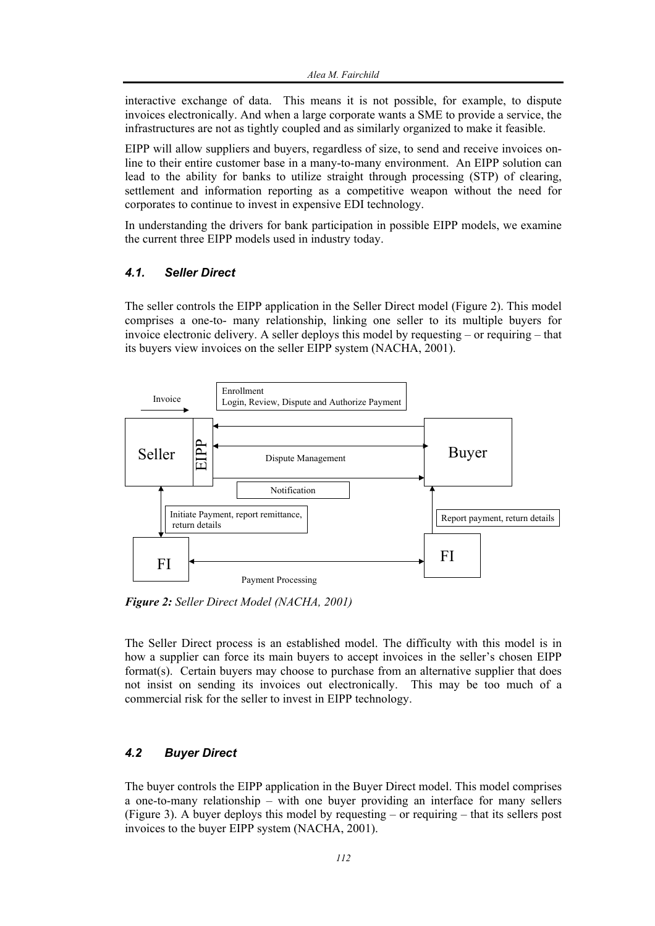interactive exchange of data. This means it is not possible, for example, to dispute invoices electronically. And when a large corporate wants a SME to provide a service, the infrastructures are not as tightly coupled and as similarly organized to make it feasible.

EIPP will allow suppliers and buyers, regardless of size, to send and receive invoices online to their entire customer base in a many-to-many environment. An EIPP solution can lead to the ability for banks to utilize straight through processing (STP) of clearing, settlement and information reporting as a competitive weapon without the need for corporates to continue to invest in expensive EDI technology.

In understanding the drivers for bank participation in possible EIPP models, we examine the current three EIPP models used in industry today.

#### *4.1. Seller Direct*

The seller controls the EIPP application in the Seller Direct model (Figure 2). This model comprises a one-to- many relationship, linking one seller to its multiple buyers for invoice electronic delivery. A seller deploys this model by requesting – or requiring – that its buyers view invoices on the seller EIPP system (NACHA, 2001).



*Figure 2: Seller Direct Model (NACHA, 2001)* 

The Seller Direct process is an established model. The difficulty with this model is in how a supplier can force its main buyers to accept invoices in the seller's chosen EIPP format(s). Certain buyers may choose to purchase from an alternative supplier that does not insist on sending its invoices out electronically. This may be too much of a commercial risk for the seller to invest in EIPP technology.

#### *4.2 Buyer Direct*

The buyer controls the EIPP application in the Buyer Direct model. This model comprises a one-to-many relationship – with one buyer providing an interface for many sellers (Figure 3). A buyer deploys this model by requesting – or requiring – that its sellers post invoices to the buyer EIPP system (NACHA, 2001).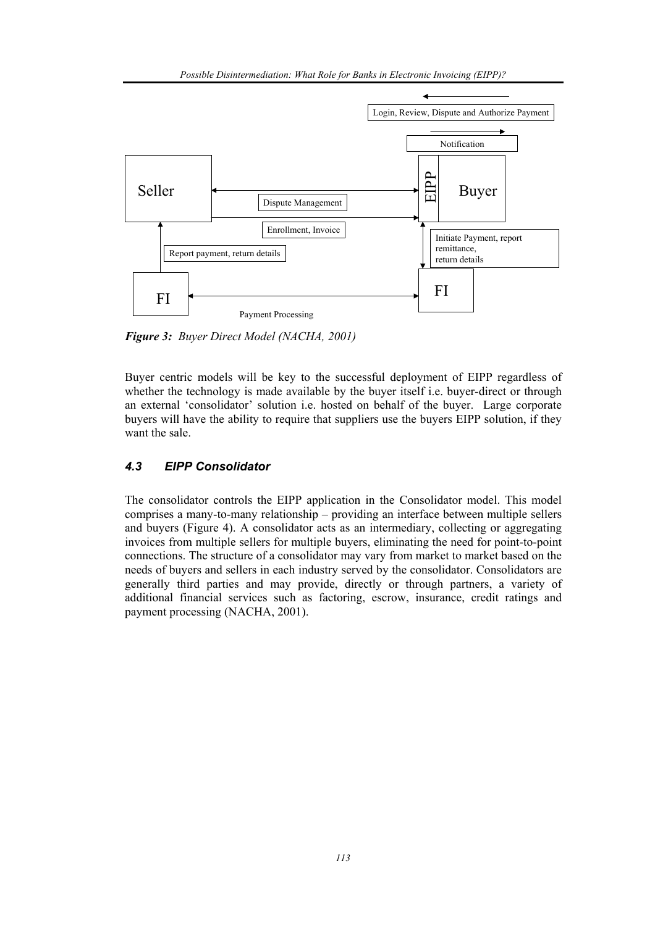

*Figure 3: Buyer Direct Model (NACHA, 2001)* 

Buyer centric models will be key to the successful deployment of EIPP regardless of whether the technology is made available by the buyer itself i.e. buyer-direct or through an external 'consolidator' solution i.e. hosted on behalf of the buyer. Large corporate buyers will have the ability to require that suppliers use the buyers EIPP solution, if they want the sale.

#### *4.3 EIPP Consolidator*

The consolidator controls the EIPP application in the Consolidator model. This model comprises a many-to-many relationship – providing an interface between multiple sellers and buyers (Figure 4). A consolidator acts as an intermediary, collecting or aggregating invoices from multiple sellers for multiple buyers, eliminating the need for point-to-point connections. The structure of a consolidator may vary from market to market based on the needs of buyers and sellers in each industry served by the consolidator. Consolidators are generally third parties and may provide, directly or through partners, a variety of additional financial services such as factoring, escrow, insurance, credit ratings and payment processing (NACHA, 2001).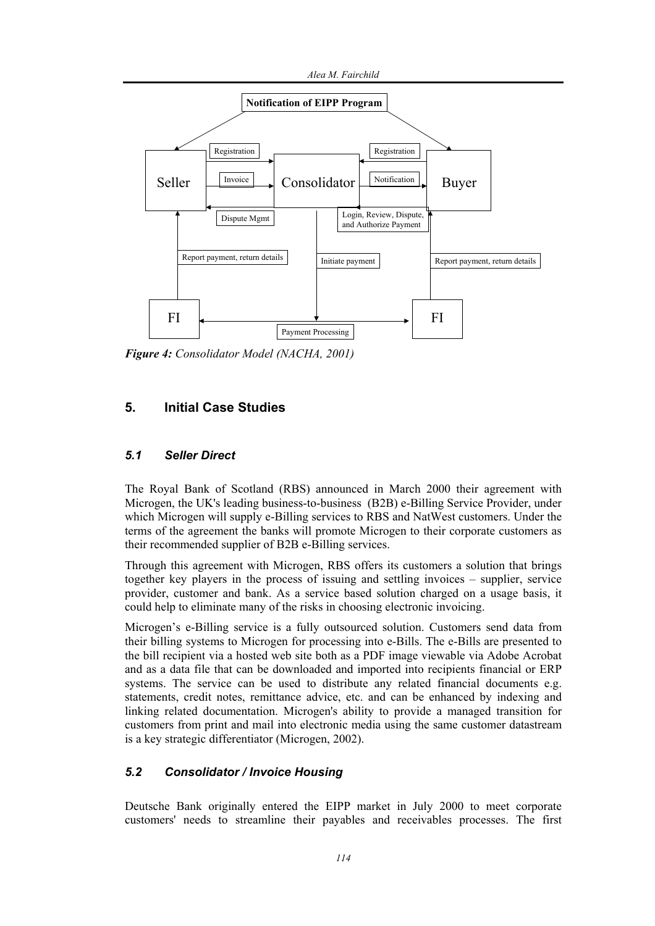

*Figure 4: Consolidator Model (NACHA, 2001)* 

## **5. Initial Case Studies**

#### *5.1 Seller Direct*

The Royal Bank of Scotland (RBS) announced in March 2000 their agreement with Microgen, the UK's leading business-to-business (B2B) e-Billing Service Provider, under which Microgen will supply e-Billing services to RBS and NatWest customers. Under the terms of the agreement the banks will promote Microgen to their corporate customers as their recommended supplier of B2B e-Billing services.

Through this agreement with Microgen, RBS offers its customers a solution that brings together key players in the process of issuing and settling invoices – supplier, service provider, customer and bank. As a service based solution charged on a usage basis, it could help to eliminate many of the risks in choosing electronic invoicing.

Microgen's e-Billing service is a fully outsourced solution. Customers send data from their billing systems to Microgen for processing into e-Bills. The e-Bills are presented to the bill recipient via a hosted web site both as a PDF image viewable via Adobe Acrobat and as a data file that can be downloaded and imported into recipients financial or ERP systems. The service can be used to distribute any related financial documents e.g. statements, credit notes, remittance advice, etc. and can be enhanced by indexing and linking related documentation. Microgen's ability to provide a managed transition for customers from print and mail into electronic media using the same customer datastream is a key strategic differentiator (Microgen, 2002).

#### *5.2 Consolidator / Invoice Housing*

Deutsche Bank originally entered the EIPP market in July 2000 to meet corporate customers' needs to streamline their payables and receivables processes. The first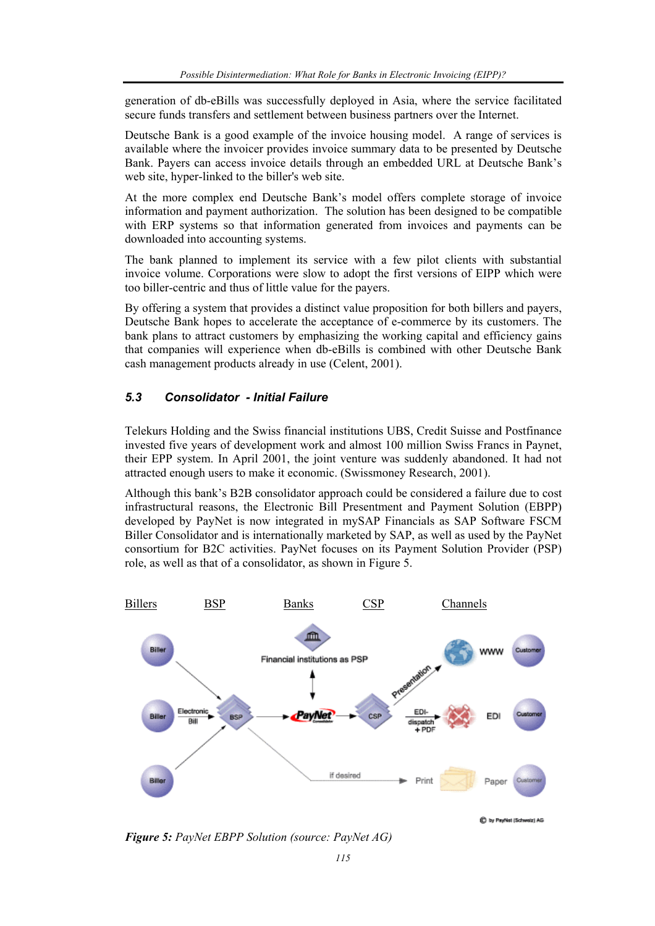generation of db-eBills was successfully deployed in Asia, where the service facilitated secure funds transfers and settlement between business partners over the Internet.

Deutsche Bank is a good example of the invoice housing model. A range of services is available where the invoicer provides invoice summary data to be presented by Deutsche Bank. Payers can access invoice details through an embedded URL at Deutsche Bank's web site, hyper-linked to the biller's web site.

At the more complex end Deutsche Bank's model offers complete storage of invoice information and payment authorization. The solution has been designed to be compatible with ERP systems so that information generated from invoices and payments can be downloaded into accounting systems.

The bank planned to implement its service with a few pilot clients with substantial invoice volume. Corporations were slow to adopt the first versions of EIPP which were too biller-centric and thus of little value for the payers.

By offering a system that provides a distinct value proposition for both billers and payers, Deutsche Bank hopes to accelerate the acceptance of e-commerce by its customers. The bank plans to attract customers by emphasizing the working capital and efficiency gains that companies will experience when db-eBills is combined with other Deutsche Bank cash management products already in use (Celent, 2001).

#### *5.3 Consolidator - Initial Failure*

Telekurs Holding and the Swiss financial institutions UBS, Credit Suisse and Postfinance invested five years of development work and almost 100 million Swiss Francs in Paynet, their EPP system. In April 2001, the joint venture was suddenly abandoned. It had not attracted enough users to make it economic. (Swissmoney Research, 2001).

Although this bank's B2B consolidator approach could be considered a failure due to cost infrastructural reasons, the Electronic Bill Presentment and Payment Solution (EBPP) developed by PayNet is now integrated in mySAP Financials as SAP Software FSCM Biller Consolidator and is internationally marketed by SAP, as well as used by the PayNet consortium for B2C activities. PayNet focuses on its Payment Solution Provider (PSP) role, as well as that of a consolidator, as shown in Figure 5.



**C** by PayNet (Schweiz) AD

*Figure 5: PayNet EBPP Solution (source: PayNet AG)*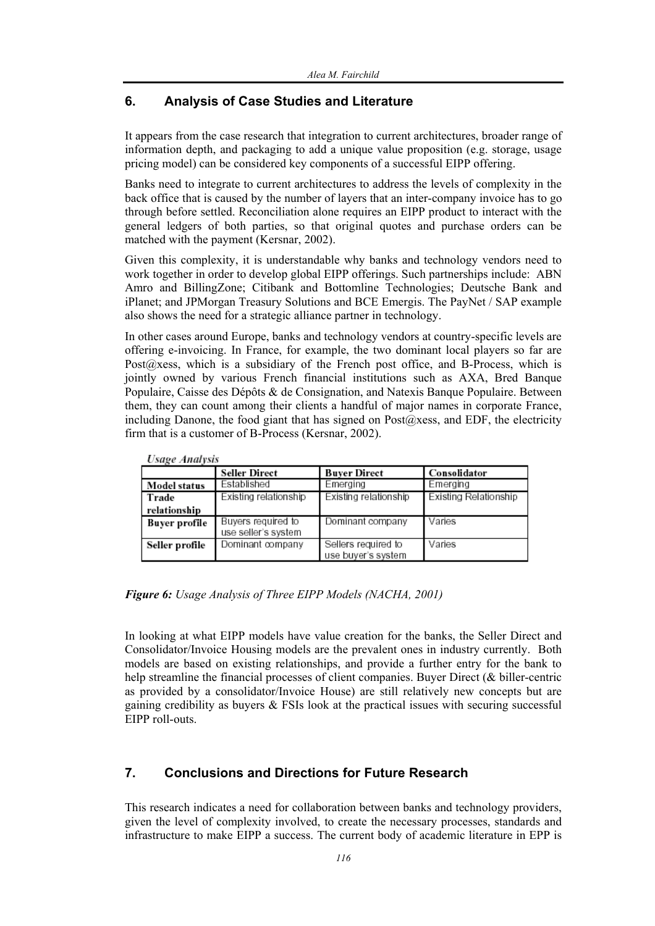#### **6. Analysis of Case Studies and Literature**

It appears from the case research that integration to current architectures, broader range of information depth, and packaging to add a unique value proposition (e.g. storage, usage pricing model) can be considered key components of a successful EIPP offering.

Banks need to integrate to current architectures to address the levels of complexity in the back office that is caused by the number of layers that an inter-company invoice has to go through before settled. Reconciliation alone requires an EIPP product to interact with the general ledgers of both parties, so that original quotes and purchase orders can be matched with the payment (Kersnar, 2002).

Given this complexity, it is understandable why banks and technology vendors need to work together in order to develop global EIPP offerings. Such partnerships include: ABN Amro and BillingZone; Citibank and Bottomline Technologies; Deutsche Bank and iPlanet; and JPMorgan Treasury Solutions and BCE Emergis. The PayNet / SAP example also shows the need for a strategic alliance partner in technology.

In other cases around Europe, banks and technology vendors at country-specific levels are offering e-invoicing. In France, for example, the two dominant local players so far are Post $@x$ ess, which is a subsidiary of the French post office, and B-Process, which is jointly owned by various French financial institutions such as AXA, Bred Banque Populaire, Caisse des Dépôts & de Consignation, and Natexis Banque Populaire. Between them, they can count among their clients a handful of major names in corporate France, including Danone, the food giant that has signed on  $Post@xess$ , and EDF, the electricity firm that is a customer of B-Process (Kersnar, 2002).

| смес лиштмо         |                                           |                                           |                       |  |  |  |
|---------------------|-------------------------------------------|-------------------------------------------|-----------------------|--|--|--|
|                     | <b>Seller Direct</b>                      | <b>Buver Direct</b>                       | Consolidator          |  |  |  |
| <b>Model status</b> | Established                               | Emerging                                  | Emerging              |  |  |  |
| Trade               | Existing relationship                     | Existing relationship                     | Existing Relationship |  |  |  |
| relationship        |                                           |                                           |                       |  |  |  |
| Buyer profile       | Buyers required to<br>use seller's system | Dominant company                          | Varies                |  |  |  |
| Seller profile      | Dominant company                          | Sellers required to<br>use buyer's system | Varies                |  |  |  |

Heano Analysis

*Figure 6: Usage Analysis of Three EIPP Models (NACHA, 2001)* 

In looking at what EIPP models have value creation for the banks, the Seller Direct and Consolidator/Invoice Housing models are the prevalent ones in industry currently. Both models are based on existing relationships, and provide a further entry for the bank to help streamline the financial processes of client companies. Buyer Direct (& biller-centric as provided by a consolidator/Invoice House) are still relatively new concepts but are gaining credibility as buyers  $\&$  FSIs look at the practical issues with securing successful EIPP roll-outs.

## **7. Conclusions and Directions for Future Research**

This research indicates a need for collaboration between banks and technology providers, given the level of complexity involved, to create the necessary processes, standards and infrastructure to make EIPP a success. The current body of academic literature in EPP is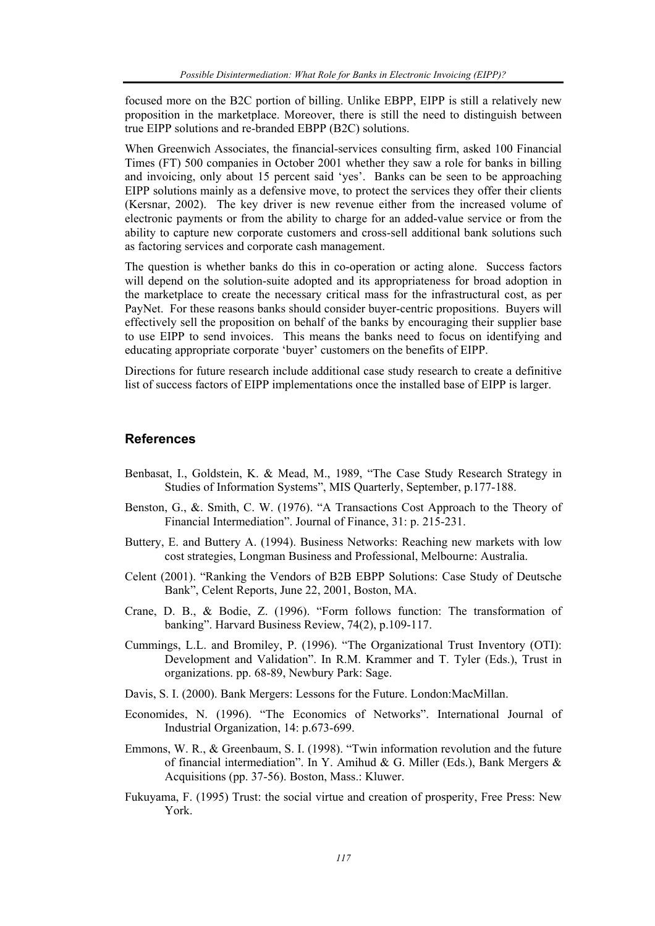focused more on the B2C portion of billing. Unlike EBPP, EIPP is still a relatively new proposition in the marketplace. Moreover, there is still the need to distinguish between true EIPP solutions and re-branded EBPP (B2C) solutions.

When Greenwich Associates, the financial-services consulting firm, asked 100 Financial Times (FT) 500 companies in October 2001 whether they saw a role for banks in billing and invoicing, only about 15 percent said 'yes'. Banks can be seen to be approaching EIPP solutions mainly as a defensive move, to protect the services they offer their clients (Kersnar, 2002). The key driver is new revenue either from the increased volume of electronic payments or from the ability to charge for an added-value service or from the ability to capture new corporate customers and cross-sell additional bank solutions such as factoring services and corporate cash management.

The question is whether banks do this in co-operation or acting alone. Success factors will depend on the solution-suite adopted and its appropriateness for broad adoption in the marketplace to create the necessary critical mass for the infrastructural cost, as per PayNet. For these reasons banks should consider buyer-centric propositions. Buyers will effectively sell the proposition on behalf of the banks by encouraging their supplier base to use EIPP to send invoices. This means the banks need to focus on identifying and educating appropriate corporate 'buyer' customers on the benefits of EIPP.

Directions for future research include additional case study research to create a definitive list of success factors of EIPP implementations once the installed base of EIPP is larger.

#### **References**

- Benbasat, I., Goldstein, K. & Mead, M., 1989, "The Case Study Research Strategy in Studies of Information Systems", MIS Quarterly, September, p.177-188.
- Benston, G., &. Smith, C. W. (1976). "A Transactions Cost Approach to the Theory of Financial Intermediation". Journal of Finance, 31: p. 215-231.
- Buttery, E. and Buttery A. (1994). Business Networks: Reaching new markets with low cost strategies, Longman Business and Professional, Melbourne: Australia.
- Celent (2001). "Ranking the Vendors of B2B EBPP Solutions: Case Study of Deutsche Bank", Celent Reports, June 22, 2001, Boston, MA.
- Crane, D. B., & Bodie, Z. (1996). "Form follows function: The transformation of banking". Harvard Business Review, 74(2), p.109-117.
- Cummings, L.L. and Bromiley, P. (1996). "The Organizational Trust Inventory (OTI): Development and Validation". In R.M. Krammer and T. Tyler (Eds.), Trust in organizations. pp. 68-89, Newbury Park: Sage.
- Davis, S. I. (2000). Bank Mergers: Lessons for the Future. London:MacMillan.
- Economides, N. (1996). "The Economics of Networks". International Journal of Industrial Organization, 14: p.673-699.
- Emmons, W. R., & Greenbaum, S. I. (1998). "Twin information revolution and the future of financial intermediation". In Y. Amihud & G. Miller (Eds.), Bank Mergers & Acquisitions (pp. 37-56). Boston, Mass.: Kluwer.
- Fukuyama, F. (1995) Trust: the social virtue and creation of prosperity, Free Press: New York.